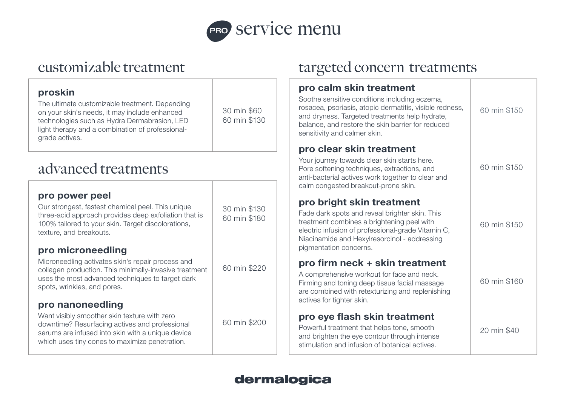

## customizable treatment

| proskin<br>The ultimate customizable treatment. Depending<br>on your skin's needs, it may include enhanced<br>technologies such as Hydra Dermabrasion, LED<br>light therapy and a combination of professional-<br>grade actives. | 30 min \$60<br>60 min \$130  | pro<br>Soo<br>rosa<br>and<br>bala<br>sen:<br>pro |
|----------------------------------------------------------------------------------------------------------------------------------------------------------------------------------------------------------------------------------|------------------------------|--------------------------------------------------|
| advanced treatments                                                                                                                                                                                                              |                              | You<br>Pore<br>anti                              |
| pro power peel<br>Our strongest, fastest chemical peel. This unique<br>three-acid approach provides deep exfoliation that is<br>100% tailored to your skin. Target discolorations,<br>texture, and breakouts.                    | 30 min \$130<br>60 min \$180 | caln<br>pro<br>Fad<br>trea<br>elec<br>Niad       |
| pro microneedling<br>Microneedling activates skin's repair process and<br>collagen production. This minimally-invasive treatment<br>uses the most advanced techniques to target dark<br>spots, wrinkles, and pores.              | 60 min \$220                 | pigr<br>pro<br>A co<br>Firm<br>are               |
| pro nanoneedling<br>Want visibly smoother skin texture with zero<br>downtime? Resurfacing actives and professional<br>serums are infused into skin with a unique device<br>which uses tiny cones to maximize penetration.        | 60 min \$200                 | activ<br>pr<br>Pow<br>and<br>stim                |

## targeted concern treatments

| pro calm skin treatment<br>Soothe sensitive conditions including eczema,<br>rosacea, psoriasis, atopic dermatitis, visible redness,<br>and dryness. Targeted treatments help hydrate,<br>balance, and restore the skin barrier for reduced<br>sensitivity and calmer skin. | 60 min \$150 |
|----------------------------------------------------------------------------------------------------------------------------------------------------------------------------------------------------------------------------------------------------------------------------|--------------|
| pro clear skin treatment<br>Your journey towards clear skin starts here.<br>Pore softening techniques, extractions, and<br>anti-bacterial actives work together to clear and<br>calm congested breakout-prone skin.                                                        | 60 min \$150 |
| pro bright skin treatment<br>Fade dark spots and reveal brighter skin. This<br>treatment combines a brightening peel with<br>electric infusion of professional-grade Vitamin C,<br>Niacinamide and Hexylresorcinol - addressing<br>pigmentation concerns.                  | 60 min \$150 |
| pro firm neck + skin treatment<br>A comprehensive workout for face and neck.<br>Firming and toning deep tissue facial massage<br>are combined with retexturizing and replenishing<br>actives for tighter skin.                                                             | 60 min \$160 |
| pro eye flash skin treatment<br>Powerful treatment that helps tone, smooth<br>and brighten the eye contour through intense<br>stimulation and infusion of botanical actives.                                                                                               | 20 min \$40  |

## dermalogica